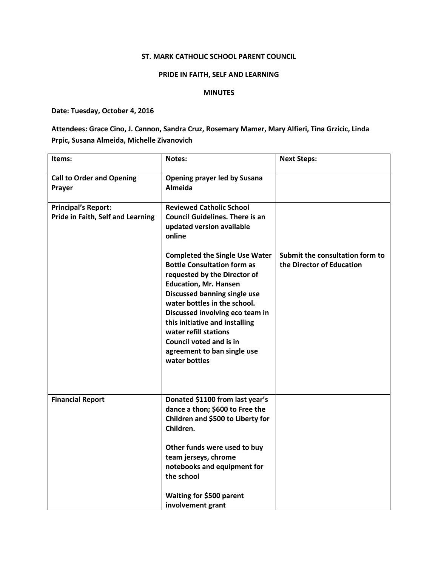## ST. MARK CATHOLIC SCHOOL PARENT COUNCIL

## PRIDE IN FAITH, SELF AND LEARNING

## MINUTES

Date: Tuesday, October 4, 2016

Attendees: Grace Cino, J. Cannon, Sandra Cruz, Rosemary Mamer, Mary Alfieri, Tina Grzicic, Linda Prpic, Susana Almeida, Michelle Zivanovich

| Items:                                                          | Notes:                                                                                                                                                                                                                                                                                                                                                                                      | <b>Next Steps:</b>                                           |
|-----------------------------------------------------------------|---------------------------------------------------------------------------------------------------------------------------------------------------------------------------------------------------------------------------------------------------------------------------------------------------------------------------------------------------------------------------------------------|--------------------------------------------------------------|
| <b>Call to Order and Opening</b><br>Prayer                      | <b>Opening prayer led by Susana</b><br>Almeida                                                                                                                                                                                                                                                                                                                                              |                                                              |
| <b>Principal's Report:</b><br>Pride in Faith, Self and Learning | <b>Reviewed Catholic School</b><br><b>Council Guidelines. There is an</b><br>updated version available<br>online                                                                                                                                                                                                                                                                            |                                                              |
|                                                                 | <b>Completed the Single Use Water</b><br><b>Bottle Consultation form as</b><br>requested by the Director of<br><b>Education, Mr. Hansen</b><br>Discussed banning single use<br>water bottles in the school.<br>Discussed involving eco team in<br>this initiative and installing<br>water refill stations<br><b>Council voted and is in</b><br>agreement to ban single use<br>water bottles | Submit the consultation form to<br>the Director of Education |
| <b>Financial Report</b>                                         | Donated \$1100 from last year's<br>dance a thon; \$600 to Free the<br>Children and \$500 to Liberty for<br>Children.                                                                                                                                                                                                                                                                        |                                                              |
|                                                                 | Other funds were used to buy<br>team jerseys, chrome<br>notebooks and equipment for<br>the school                                                                                                                                                                                                                                                                                           |                                                              |
|                                                                 | Waiting for \$500 parent<br>involvement grant                                                                                                                                                                                                                                                                                                                                               |                                                              |